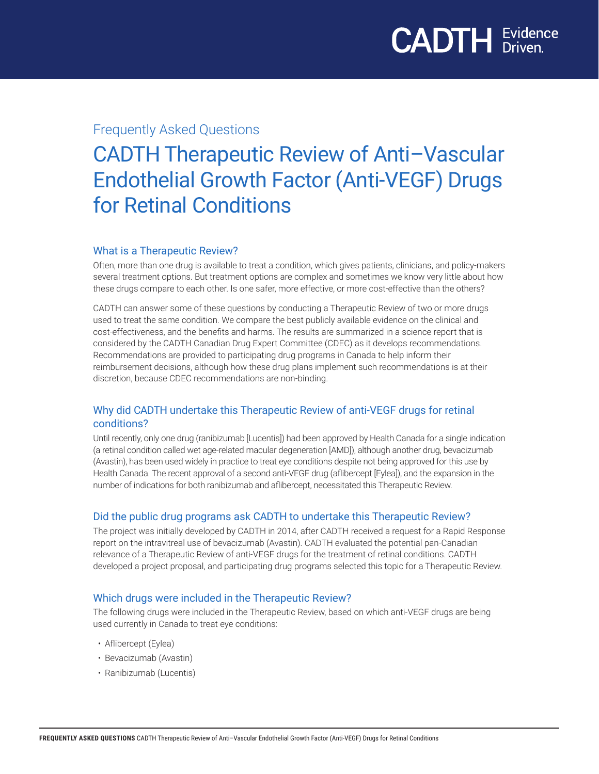## Frequently Asked Questions

# CADTH Therapeutic Review of Anti–Vascular Endothelial Growth Factor (Anti-VEGF) Drugs for Retinal Conditions

#### What is a Therapeutic Review?

Often, more than one drug is available to treat a condition, which gives patients, clinicians, and policy-makers several treatment options. But treatment options are complex and sometimes we know very little about how these drugs compare to each other. Is one safer, more effective, or more cost-effective than the others?

CADTH can answer some of these questions by conducting a Therapeutic Review of two or more drugs used to treat the same condition. We compare the best publicly available evidence on the clinical and cost-effectiveness, and the benefits and harms. The results are summarized in a science report that is considered by the CADTH Canadian Drug Expert Committee (CDEC) as it develops recommendations. Recommendations are provided to participating drug programs in Canada to help inform their reimbursement decisions, although how these drug plans implement such recommendations is at their discretion, because CDEC recommendations are non-binding.

## Why did CADTH undertake this Therapeutic Review of anti-VEGF drugs for retinal conditions?

Until recently, only one drug (ranibizumab [Lucentis]) had been approved by Health Canada for a single indication (a retinal condition called wet age-related macular degeneration [AMD]), although another drug, bevacizumab (Avastin), has been used widely in practice to treat eye conditions despite not being approved for this use by Health Canada. The recent approval of a second anti-VEGF drug (aflibercept [Eylea]), and the expansion in the number of indications for both ranibizumab and aflibercept, necessitated this Therapeutic Review.

#### Did the public drug programs ask CADTH to undertake this Therapeutic Review?

The project was initially developed by CADTH in 2014, after CADTH received a request for a Rapid Response report on the intravitreal use of bevacizumab (Avastin). CADTH evaluated the potential pan-Canadian relevance of a Therapeutic Review of anti-VEGF drugs for the treatment of retinal conditions. CADTH developed a project proposal, and participating drug programs selected this topic for a Therapeutic Review.

#### Which drugs were included in the Therapeutic Review?

The following drugs were included in the Therapeutic Review, based on which anti-VEGF drugs are being used currently in Canada to treat eye conditions:

- Aflibercept (Eylea)
- Bevacizumab (Avastin)
- Ranibizumab (Lucentis)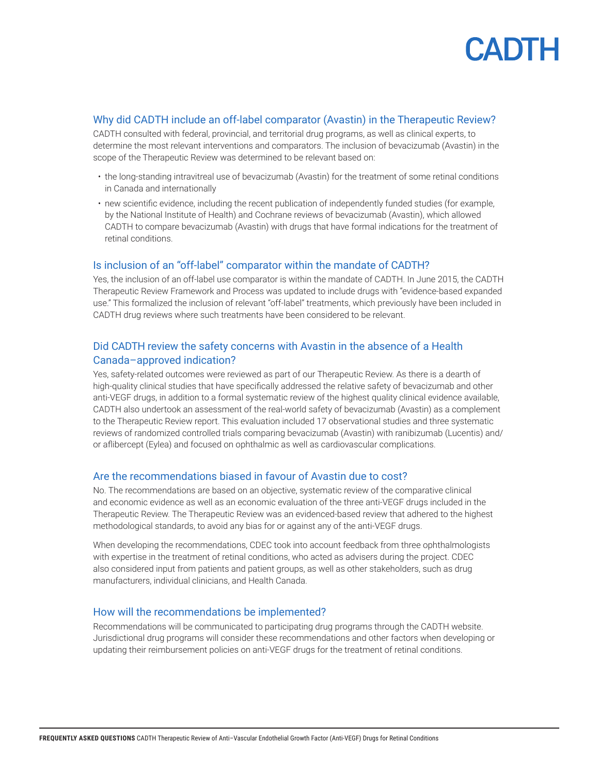

#### Why did CADTH include an off-label comparator (Avastin) in the Therapeutic Review?

CADTH consulted with federal, provincial, and territorial drug programs, as well as clinical experts, to determine the most relevant interventions and comparators. The inclusion of bevacizumab (Avastin) in the scope of the Therapeutic Review was determined to be relevant based on:

- the long-standing intravitreal use of bevacizumab (Avastin) for the treatment of some retinal conditions in Canada and internationally
- new scientific evidence, including the recent publication of independently funded studies (for example, by the National Institute of Health) and Cochrane reviews of bevacizumab (Avastin), which allowed CADTH to compare bevacizumab (Avastin) with drugs that have formal indications for the treatment of retinal conditions.

#### Is inclusion of an "off-label" comparator within the mandate of CADTH?

Yes, the inclusion of an off-label use comparator is within the mandate of CADTH. In June 2015, the CADTH Therapeutic Review Framework and Process was updated to include drugs with "evidence-based expanded use." This formalized the inclusion of relevant "off-label" treatments, which previously have been included in CADTH drug reviews where such treatments have been considered to be relevant.

#### Did CADTH review the safety concerns with Avastin in the absence of a Health Canada–approved indication?

Yes, safety-related outcomes were reviewed as part of our Therapeutic Review. As there is a dearth of high-quality clinical studies that have specifically addressed the relative safety of bevacizumab and other anti-VEGF drugs, in addition to a formal systematic review of the highest quality clinical evidence available, CADTH also undertook an assessment of the real-world safety of bevacizumab (Avastin) as a complement to the Therapeutic Review report. This evaluation included 17 observational studies and three systematic reviews of randomized controlled trials comparing bevacizumab (Avastin) with ranibizumab (Lucentis) and/ or aflibercept (Eylea) and focused on ophthalmic as well as cardiovascular complications.

#### Are the recommendations biased in favour of Avastin due to cost?

No. The recommendations are based on an objective, systematic review of the comparative clinical and economic evidence as well as an economic evaluation of the three anti-VEGF drugs included in the Therapeutic Review. The Therapeutic Review was an evidenced-based review that adhered to the highest methodological standards, to avoid any bias for or against any of the anti-VEGF drugs.

When developing the recommendations, CDEC took into account feedback from three ophthalmologists with expertise in the treatment of retinal conditions, who acted as advisers during the project. CDEC also considered input from patients and patient groups, as well as other stakeholders, such as drug manufacturers, individual clinicians, and Health Canada.

#### How will the recommendations be implemented?

Recommendations will be communicated to participating drug programs through the CADTH website. Jurisdictional drug programs will consider these recommendations and other factors when developing or updating their reimbursement policies on anti-VEGF drugs for the treatment of retinal conditions.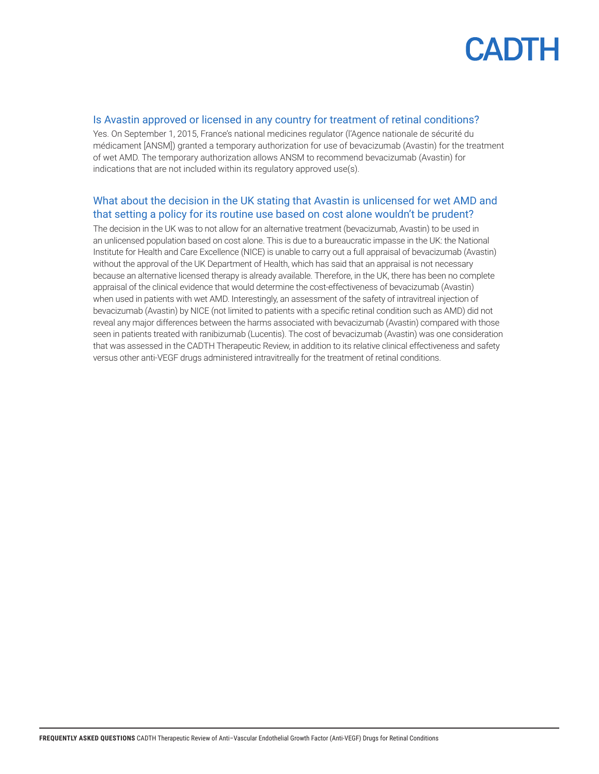

#### Is Avastin approved or licensed in any country for treatment of retinal conditions?

Yes. On September 1, 2015, France's national medicines regulator (l'Agence nationale de sécurité du médicament [ANSM]) granted a temporary authorization for use of bevacizumab (Avastin) for the treatment of wet AMD. The temporary authorization allows ANSM to recommend bevacizumab (Avastin) for indications that are not included within its regulatory approved use(s).

### What about the decision in the UK stating that Avastin is unlicensed for wet AMD and that setting a policy for its routine use based on cost alone wouldn't be prudent?

The decision in the UK was to not allow for an alternative treatment (bevacizumab, Avastin) to be used in an unlicensed population based on cost alone. This is due to a bureaucratic impasse in the UK: the National Institute for Health and Care Excellence (NICE) is unable to carry out a full appraisal of bevacizumab (Avastin) without the approval of the UK Department of Health, which has said that an appraisal is not necessary because an alternative licensed therapy is already available. Therefore, in the UK, there has been no complete appraisal of the clinical evidence that would determine the cost-effectiveness of bevacizumab (Avastin) when used in patients with wet AMD. Interestingly, an assessment of the safety of intravitreal injection of bevacizumab (Avastin) by NICE (not limited to patients with a specific retinal condition such as AMD) did not reveal any major differences between the harms associated with bevacizumab (Avastin) compared with those seen in patients treated with ranibizumab (Lucentis). The cost of bevacizumab (Avastin) was one consideration that was assessed in the CADTH Therapeutic Review, in addition to its relative clinical effectiveness and safety versus other anti-VEGF drugs administered intravitreally for the treatment of retinal conditions.